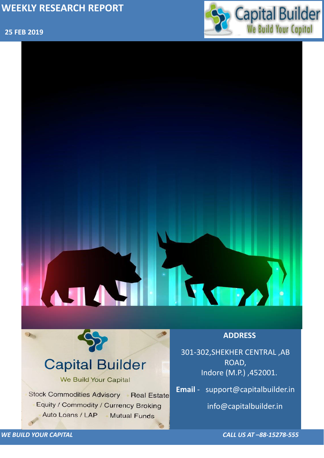### **25 FEB 2019**



*WE BUILD YOUR CAPITAL CALL US AT –88-15278-555*



## **Capital Builder** We Build Your Capital Stock Commodities Advisory Real Estate Equity / Commodity / Currency Broking Auto Loans / LAP **Mutual Funds**

301-302,SHEKHER CENTRAL ,AB ROAD, Indore (M.P.) ,452001.

**Email** - support@capitalbuilder.in

info@capitalbuilder.in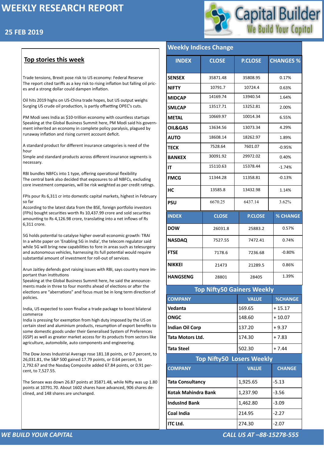## **25 FEB 2019**



#### *WE BUILD YOUR CAPITAL CALL US AT –88-15278-555*

#### **Top stories this week**

Trade tensions, Brexit pose risk to US economy: Federal Reserve The report cited tariffs as a key risk to rising inflation but falling oil prices and a strong dollar could dampen inflation.

Oil hits 2019 highs on US-China trade hopes, but US output weighs Surging US crude oil production, is partly offsetting OPEC's cuts.

PM Modi sees India as \$10-trillion economy with countless startups Speaking at the Global Business Summit here, PM Modi said his government inherited an economy in complete policy paralysis, plagued by runaway inflation and rising current account deficit.

A standard product for different insurance categories is need of the hour

Simple and standard products across different insurance segments is necessary.

RBI bundles NBFCs into 1 type, offering operational flexibility The central bank also decided that exposures to all NBFCs, excluding core investment companies, will be risk weighted as per credit ratings.

FPIs pour Rs 6,311 cr into domestic capital markets, highest in February so far

According to the latest data from the BSE, foreign portfolio investors (FPIs) bought securities worth Rs 10,437.99 crore and sold securities amounting to Rs 4,126.98 crore, translating into a net inflows of Rs 6,311 crore.

5G holds potential to catalyse higher overall economic growth: TRAI In a white paper on 'Enabling 5G in India', the telecom regulator said while 5G will bring new capabilities to fore in areas such as telesurgery and autonomous vehicles, harnessing its full potential would require substantial amount of investment for roll-out of services.

Arun Jaitley defends govt raising issues with RBI, says country more important than institutions

Speaking at the Global Business Summit here, he said the announcements made in three to four months ahead of elections or after the elections are "aberrations" and focus must be in long term direction of policies.

India, US expected to soon finalise a trade package to boost bilateral commerce

India is pressing for exemption from high duty imposed by the US on certain steel and aluminium products, resumption of export benefits to some domestic goods under their Generalised System of Preferences (GSP) as well as greater market access for its products from sectors like agriculture, automobile, auto components and engineering.

The Dow Jones Industrial Average rose 181.18 points, or 0.7 percent, to 26,031.81, the S&P 500 gained 17.79 points, or 0.64 percent, to 2,792.67 and the Nasdaq Composite added 67.84 points, or 0.91 percent, to 7,527.55.

The Sensex was down 26.87 points at 35871.48, while Nifty was up 1.80 points at 10791.70. About 1602 shares have advanced, 906 shares declined, and 148 shares are unchanged.

#### **Top Nifty50 Gainers Weekly**

#### **Weekly Indices Change**

| <b>INDEX</b>       | <b>CLOSE</b> | <b>P.CLOSE</b> | <b>CHANGES %</b> |  |  |
|--------------------|--------------|----------------|------------------|--|--|
| <b>SENSEX</b>      | 35871.48     | 35808.95       | 0.17%            |  |  |
| <b>NIFTY</b>       | 10791.7      | 10724.4        | 0.63%            |  |  |
| <b>MIDCAP</b>      | 14169.74     | 13940.54       | 1.64%            |  |  |
| <b>SMLCAP</b>      | 13517.71     | 13252.81       | 2.00%            |  |  |
| <b>METAL</b>       | 10669.97     | 10014.34       | 6.55%            |  |  |
| <b>OIL&amp;GAS</b> | 13634.56     | 13073.34       | 4.29%            |  |  |
| <b>AUTO</b>        | 18608.14     | 18262.97       | 1.89%            |  |  |
| <b>TECK</b>        | 7528.64      | 7601.07        | $-0.95%$         |  |  |
| <b>BANKEX</b>      | 30091.92     | 29972.02       | 0.40%            |  |  |
| IT                 | 15110.63     | 15378.44       | $-1.74%$         |  |  |
| <b>FMCG</b>        | 11344.28     | 11358.81       | $-0.13%$         |  |  |
| <b>HC</b>          | 13585.8      | 13432.98       | 1.14%            |  |  |
| <b>PSU</b>         | 6670.25      | 6437.14        | 3.62%            |  |  |
| <b>INDEX</b>       | <b>CLOSE</b> | <b>P.CLOSE</b> | <b>% CHANGE</b>  |  |  |
| <b>DOW</b>         | 26031.8      | 25883.2        | 0.57%            |  |  |
| <b>NASDAQ</b>      | 7527.55      | 7472.41        | 0.74%            |  |  |
| <b>FTSE</b>        | 7178.6       | 7236.68        | $-0.80\%$        |  |  |
| <b>NIKKEI</b>      | 21473        | 21289.5        | 0.86%            |  |  |
| <b>HANGSENG</b>    | 28801        | 1.39%<br>28405 |                  |  |  |

| <b>COMPANY</b>                   | <b>VALUE</b> | <b>%CHANGE</b> |  |  |  |
|----------------------------------|--------------|----------------|--|--|--|
| Vedanta                          | 169.65       | $+15.17$       |  |  |  |
| <b>ONGC</b>                      | 148.60       | $+10.07$       |  |  |  |
| <b>Indian Oil Corp</b>           | 137.20       | $+9.37$        |  |  |  |
| <b>Tata Motors Ltd.</b>          | 174.30       | $+7.83$        |  |  |  |
| <b>Tata Steel</b>                | 502.30       | $+7.44$        |  |  |  |
| <b>Top Nifty50 Losers Weekly</b> |              |                |  |  |  |
|                                  |              |                |  |  |  |
| <b>COMPANY</b>                   | <b>VALUE</b> | <b>CHANGE</b>  |  |  |  |
| <b>Tata Consultancy</b>          | 1,925.65     | $-5.13$        |  |  |  |
| <b>Kotak Mahindra Bank</b>       | 1,237.90     | $-3.56$        |  |  |  |
| <b>IndusInd Bank</b>             | 1,462.80     | $-3.09$        |  |  |  |
| <b>Coal India</b>                | 214.95       | $-2.27$        |  |  |  |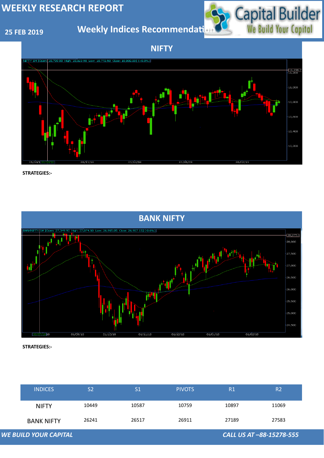## **25 FEB 2019**

**Weekly Indices Recommendati** 



| <b>WE BUILD YOUR CAPITAL</b><br>CALL US AT -88-15278-555 |                   |                |               |               |       |                |
|----------------------------------------------------------|-------------------|----------------|---------------|---------------|-------|----------------|
|                                                          | <b>BANK NIFTY</b> | 26241          | 26517         | 26911         | 27189 | 27583          |
|                                                          | <b>NIFTY</b>      | 10449          | 10587         | 10759         | 10897 | 11069          |
|                                                          | <b>INDICES</b>    | S <sub>2</sub> | $\mathsf{S}1$ | <b>PIVOTS</b> | R1    | R <sub>2</sub> |

**NIFTY**





**STRATEGIES:-**

**STRATEGIES:-**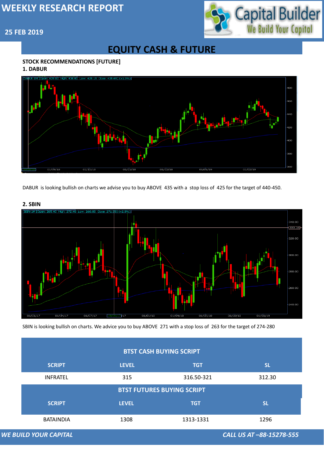# Capital Builder

## **25 FEB 2019**

## **EQUITY CASH & FUTURE**

#### **STOCK RECOMMENDATIONS [FUTURE]**

#### **1. DABUR**



#### **2. SBIN**



DABUR is looking bullish on charts we advise you to buy ABOVE 435 with a stop loss of 425 for the target of 440-450.

|                                                          | <b>BTST CASH BUYING SCRIPT</b>    |              |            |           |  |  |
|----------------------------------------------------------|-----------------------------------|--------------|------------|-----------|--|--|
|                                                          | <b>SCRIPT</b>                     | <b>LEVEL</b> | <b>TGT</b> | <b>SL</b> |  |  |
|                                                          | <b>INFRATEL</b>                   | 315          | 316.50-321 | 312.30    |  |  |
|                                                          | <b>BTST FUTURES BUYING SCRIPT</b> |              |            |           |  |  |
|                                                          | <b>SCRIPT</b>                     | <b>LEVEL</b> | <b>TGT</b> | <b>SL</b> |  |  |
|                                                          | <b>BATAINDIA</b>                  | 1308         | 1313-1331  | 1296      |  |  |
| <b>WE BUILD YOUR CAPITAL</b><br>CALL US AT -88-15278-555 |                                   |              |            |           |  |  |

SBIN is looking bullish on charts. We advice you to buy ABOVE 271 with a stop loss of 263 for the target of 274-280